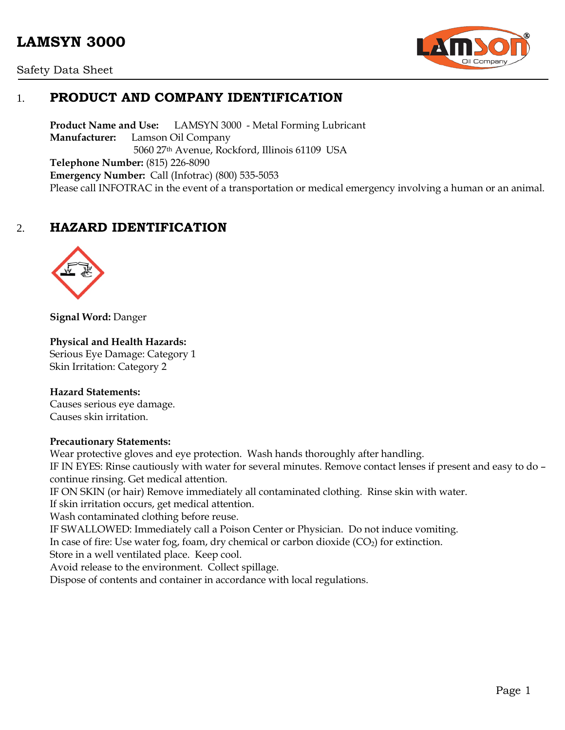# **LAMSYN 3000**





# 1. **PRODUCT AND COMPANY IDENTIFICATION**

**Product Name and Use:** LAMSYN 3000 - Metal Forming Lubricant **Manufacturer:** Lamson Oil Company 5060 27th Avenue, Rockford, Illinois 61109 USA **Telephone Number:** (815) 226-8090 **Emergency Number:** Call (Infotrac) (800) 535-5053 Please call INFOTRAC in the event of a transportation or medical emergency involving a human or an animal.

# 2. **HAZARD IDENTIFICATION**



**Signal Word:** Danger

#### **Physical and Health Hazards:**

Serious Eye Damage: Category 1 Skin Irritation: Category 2

#### **Hazard Statements:**

Causes serious eye damage. Causes skin irritation.

#### **Precautionary Statements:**

Wear protective gloves and eye protection. Wash hands thoroughly after handling. IF IN EYES: Rinse cautiously with water for several minutes. Remove contact lenses if present and easy to do – continue rinsing. Get medical attention. IF ON SKIN (or hair) Remove immediately all contaminated clothing. Rinse skin with water.

If skin irritation occurs, get medical attention.

Wash contaminated clothing before reuse.

IF SWALLOWED: Immediately call a Poison Center or Physician. Do not induce vomiting.

In case of fire: Use water fog, foam, dry chemical or carbon dioxide  $(CO<sub>2</sub>)$  for extinction.

Store in a well ventilated place. Keep cool.

Avoid release to the environment. Collect spillage.

Dispose of contents and container in accordance with local regulations.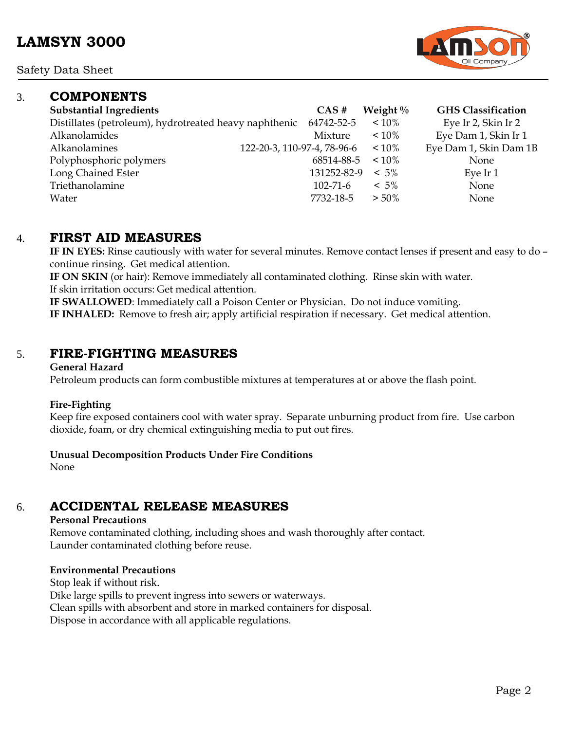Safety Data Sheet

### 3. **COMPONENTS**

| <b>Substantial Ingredients</b>                         | CAS#                        | Weight $\%$ | <b>GHS</b> Classification |
|--------------------------------------------------------|-----------------------------|-------------|---------------------------|
| Distillates (petroleum), hydrotreated heavy naphthenic | 64742-52-5                  | $~10\%$     | Eye Ir 2, Skin Ir 2       |
| Alkanolamides                                          | Mixture                     | $~10\%$     | Eye Dam 1, Skin Ir 1      |
| Alkanolamines                                          | 122-20-3, 110-97-4, 78-96-6 | $~10\%$     | Eye Dam 1, Skin Dam 1B    |
| Polyphosphoric polymers                                | 68514-88-5                  | $~10\%$     | None                      |
| Long Chained Ester                                     | 131252-82-9                 | $< 5\%$     | Eye Ir 1                  |
| Triethanolamine                                        | $102 - 71 - 6$              | $< 5\%$     | None                      |
| Water                                                  | 7732-18-5                   | $> 50\%$    | None                      |

### 4. **FIRST AID MEASURES**

**IF IN EYES:** Rinse cautiously with water for several minutes. Remove contact lenses if present and easy to do – continue rinsing. Get medical attention.

**IF ON SKIN** (or hair): Remove immediately all contaminated clothing. Rinse skin with water. If skin irritation occurs: Get medical attention.

**IF SWALLOWED**: Immediately call a Poison Center or Physician. Do not induce vomiting. **IF INHALED:** Remove to fresh air; apply artificial respiration if necessary. Get medical attention.

### 5. **FIRE-FIGHTING MEASURES**

#### **General Hazard**

Petroleum products can form combustible mixtures at temperatures at or above the flash point.

#### **Fire-Fighting**

Keep fire exposed containers cool with water spray. Separate unburning product from fire. Use carbon dioxide, foam, or dry chemical extinguishing media to put out fires.

### **Unusual Decomposition Products Under Fire Conditions**

None

# 6. **ACCIDENTAL RELEASE MEASURES**

#### **Personal Precautions**

Remove contaminated clothing, including shoes and wash thoroughly after contact. Launder contaminated clothing before reuse.

#### **Environmental Precautions**

Stop leak if without risk.

Dike large spills to prevent ingress into sewers or waterways.

Clean spills with absorbent and store in marked containers for disposal.

Dispose in accordance with all applicable regulations.

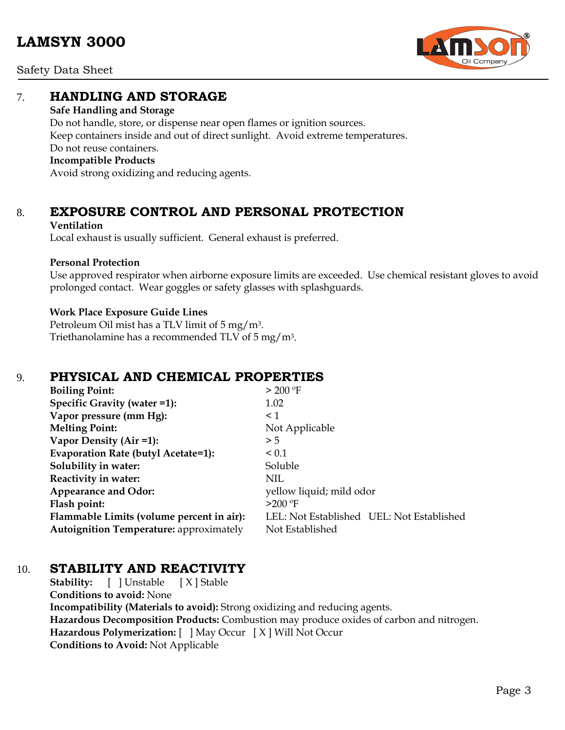Safety Data Sheet

### 7. **HANDLING AND STORAGE**

#### **Safe Handling and Storage**

Do not handle, store, or dispense near open flames or ignition sources. Keep containers inside and out of direct sunlight. Avoid extreme temperatures. Do not reuse containers. **Incompatible Products**

Avoid strong oxidizing and reducing agents.

# 8. **EXPOSURE CONTROL AND PERSONAL PROTECTION**

#### **Ventilation**

Local exhaust is usually sufficient. General exhaust is preferred.

### **Personal Protection**

Use approved respirator when airborne exposure limits are exceeded. Use chemical resistant gloves to avoid prolonged contact. Wear goggles or safety glasses with splashguards.

### **Work Place Exposure Guide Lines**

Petroleum Oil mist has a TLV limit of 5 mg/m3. Triethanolamine has a recommended TLV of 5 mg/m3.

# 9. **PHYSICAL AND CHEMICAL PROPERTIES**

| <b>Boiling Point:</b>                          | > 200 °F                                  |
|------------------------------------------------|-------------------------------------------|
| Specific Gravity (water =1):                   | 1.02                                      |
| Vapor pressure (mm Hg):                        | $\leq 1$                                  |
| <b>Melting Point:</b>                          | Not Applicable                            |
| Vapor Density (Air =1):                        | > 5                                       |
| Evaporation Rate (butyl Acetate=1):            | ${}_{0.1}$                                |
| Solubility in water:                           | Soluble                                   |
| Reactivity in water:                           | <b>NIL</b>                                |
| <b>Appearance and Odor:</b>                    | yellow liquid; mild odor                  |
| Flash point:                                   | $>200$ °F                                 |
| Flammable Limits (volume percent in air):      | LEL: Not Established UEL: Not Established |
| <b>Autoignition Temperature:</b> approximately | Not Established                           |

# 10. **STABILITY AND REACTIVITY**

**Stability:** [ ] Unstable [ X ] Stable **Conditions to avoid:** None **Incompatibility (Materials to avoid):** Strong oxidizing and reducing agents. **Hazardous Decomposition Products:** Combustion may produce oxides of carbon and nitrogen. **Hazardous Polymerization:** [ ] May Occur [ X ] Will Not Occur **Conditions to Avoid:** Not Applicable